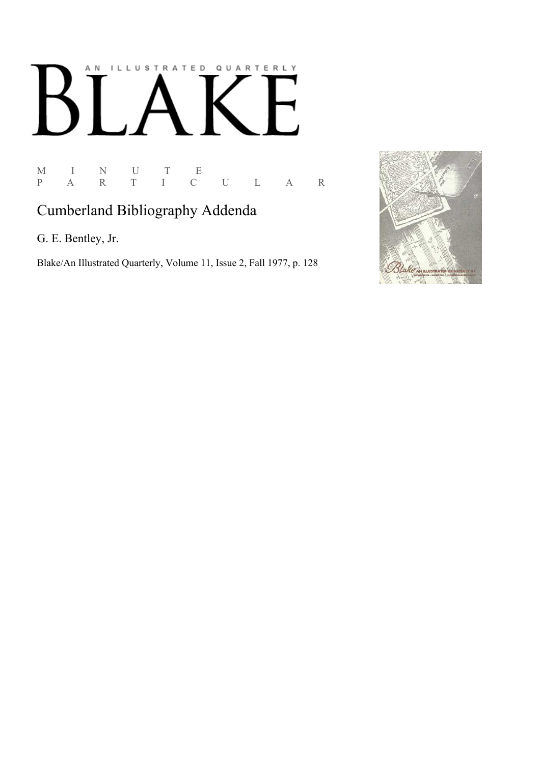## AN ILLUSTRATED QUARTERLY  $\lceil$  $\mathbf B$

M I N U T E<br>P A R T I C P A R T I C U L A R

## Cumberland Bibliography Addenda

G. E. Bentley, Jr.

Blake/An Illustrated Quarterly, Volume 11, Issue 2, Fall 1977, p. 128